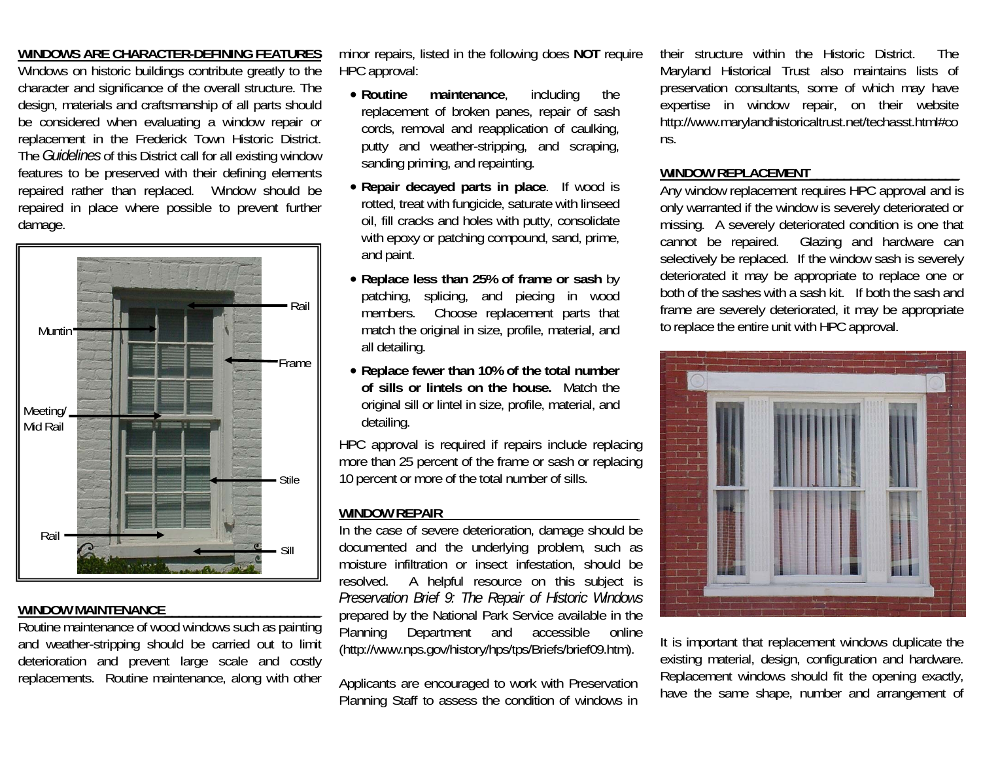### **WINDOWS ARE CHARACTER-DEFINING FEATURES**

Windows on historic buildings contribute greatly to the character and significance of the overall structure. The design, materials and craftsmanship of all parts should be considered when evaluating a window repair or replacement in the Frederick Town Historic District. The *Guidelines* of this District call for all existing window features to be preserved with their defining elements repaired rather than replaced. Window should be repaired in place where possible to prevent further damage.



#### **WINDOW MAINTENANCE** \_\_\_\_\_\_\_\_\_\_\_\_\_\_\_\_\_\_\_\_\_\_\_

Routine maintenance of wood windows such as painting and weather-stripping should be carried out to limit deterioration and prevent large scale and costly replacements. Routine maintenance, along with other

minor repairs, listed in the following does **NOT** require HPC approval:

- Routine maintenance, including the replacement of broken panes, repair of sash cords, removal and reapplication of caulking, putty and weather-stripping, and scraping, sanding priming, and repainting.
- **Repair decayed parts in place**. If wood is rotted, treat with fungicide, saturate with linseed oil, fill cracks and holes with putty, consolidate with epoxy or patching compound, sand, prime, and paint.
- **Replace less than 25% of frame or sash** by patching, splicing, and piecing in wood members. Choose replacement parts that match the original in size, profile, material, and all detailing.
- **Replace fewer than 10% of the total number of sills or lintels on the house.** Match the original sill or lintel in size, profile, material, and detailing.

HPC approval is required if repairs include replacing more than 25 percent of the frame or sash or replacing 10 percent or more of the total number of sills.

#### **WINDOW REPAIR**\_\_\_\_\_\_\_\_\_\_\_\_\_\_\_\_\_\_\_\_\_\_\_\_\_\_\_\_\_

In the case of severe deterioration, damage should be documented and the underlying problem, such as moisture infiltration or insect infestation, should be resolved. A helpful resource on this subject is *Preservation Brief 9: The Repair of Historic Windows*  prepared by the National Park Service available in the Planning Department and accessible online (http://www.nps.gov/history/hps/tps/Briefs/brief09.htm).

Applicants are encouraged to work with Preservation Planning Staff to assess the condition of windows in their structure within the Historic District. The Maryland Historical Trust also maintains lists of preservation consultants, some of which may have expertise in window repair, on their website http://www.marylandhistoricaltrust.net/techasst.html#co ns.

#### **WINDOW REPLACEMENT**\_\_\_\_\_\_\_\_\_\_\_\_\_\_\_\_\_\_\_\_\_\_

Any window replacement requires HPC approval and is only warranted if the window is severely deteriorated or missing. A severely deteriorated condition is one that cannot be repaired. Glazing and hardware can selectively be replaced. If the window sash is severely deteriorated it may be appropriate to replace one or both of the sashes with a sash kit. If both the sash and frame are severely deteriorated, it may be appropriate to replace the entire unit with HPC approval.



It is important that replacement windows duplicate the existing material, design, configuration and hardware. Replacement windows should fit the opening exactly, have the same shape, number and arrangement of